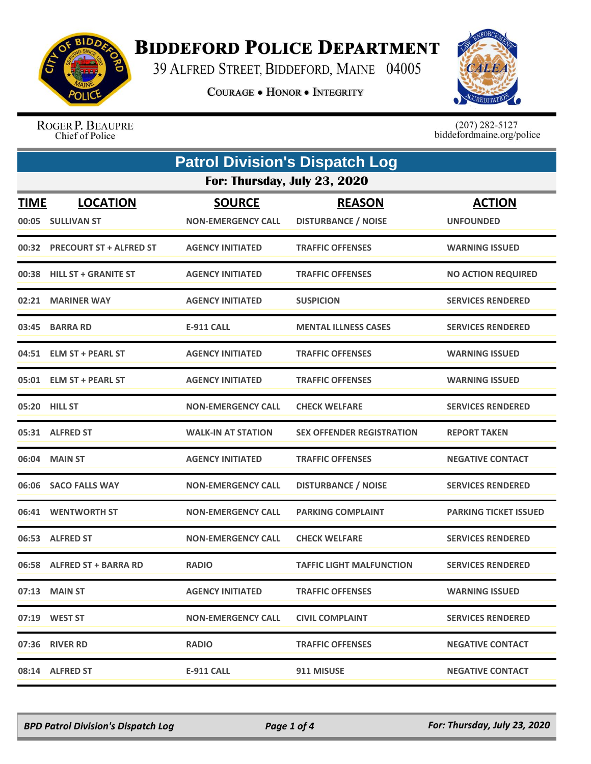

## **BIDDEFORD POLICE DEPARTMENT**

39 ALFRED STREET, BIDDEFORD, MAINE 04005

**COURAGE . HONOR . INTEGRITY** 



ROGER P. BEAUPRE Chief of Police

 $(207)$  282-5127<br>biddefordmaine.org/police

| <b>Patrol Division's Dispatch Log</b> |                                      |                                            |                                             |                                   |  |
|---------------------------------------|--------------------------------------|--------------------------------------------|---------------------------------------------|-----------------------------------|--|
|                                       | For: Thursday, July 23, 2020         |                                            |                                             |                                   |  |
| <b>TIME</b>                           | <b>LOCATION</b><br>00:05 SULLIVAN ST | <b>SOURCE</b><br><b>NON-EMERGENCY CALL</b> | <b>REASON</b><br><b>DISTURBANCE / NOISE</b> | <b>ACTION</b><br><b>UNFOUNDED</b> |  |
|                                       | 00:32 PRECOURT ST + ALFRED ST        | <b>AGENCY INITIATED</b>                    | <b>TRAFFIC OFFENSES</b>                     | <b>WARNING ISSUED</b>             |  |
|                                       | 00:38 HILL ST + GRANITE ST           | <b>AGENCY INITIATED</b>                    | <b>TRAFFIC OFFENSES</b>                     | <b>NO ACTION REQUIRED</b>         |  |
| 02:21                                 | <b>MARINER WAY</b>                   | <b>AGENCY INITIATED</b>                    | <b>SUSPICION</b>                            | <b>SERVICES RENDERED</b>          |  |
|                                       | 03:45 BARRA RD                       | <b>E-911 CALL</b>                          | <b>MENTAL ILLNESS CASES</b>                 | <b>SERVICES RENDERED</b>          |  |
| 04:51                                 | <b>ELM ST + PEARL ST</b>             | <b>AGENCY INITIATED</b>                    | <b>TRAFFIC OFFENSES</b>                     | <b>WARNING ISSUED</b>             |  |
|                                       | 05:01 ELM ST + PEARL ST              | <b>AGENCY INITIATED</b>                    | <b>TRAFFIC OFFENSES</b>                     | <b>WARNING ISSUED</b>             |  |
| 05:20                                 | <b>HILL ST</b>                       | <b>NON-EMERGENCY CALL</b>                  | <b>CHECK WELFARE</b>                        | <b>SERVICES RENDERED</b>          |  |
|                                       | 05:31 ALFRED ST                      | <b>WALK-IN AT STATION</b>                  | <b>SEX OFFENDER REGISTRATION</b>            | <b>REPORT TAKEN</b>               |  |
|                                       | 06:04 MAIN ST                        | <b>AGENCY INITIATED</b>                    | <b>TRAFFIC OFFENSES</b>                     | <b>NEGATIVE CONTACT</b>           |  |
| 06:06                                 | <b>SACO FALLS WAY</b>                | <b>NON-EMERGENCY CALL</b>                  | <b>DISTURBANCE / NOISE</b>                  | <b>SERVICES RENDERED</b>          |  |
|                                       | 06:41 WENTWORTH ST                   | <b>NON-EMERGENCY CALL</b>                  | <b>PARKING COMPLAINT</b>                    | <b>PARKING TICKET ISSUED</b>      |  |
| 06:53                                 | <b>ALFRED ST</b>                     | <b>NON-EMERGENCY CALL</b>                  | <b>CHECK WELFARE</b>                        | <b>SERVICES RENDERED</b>          |  |
|                                       | 06:58 ALFRED ST + BARRA RD           | <b>RADIO</b>                               | <b>TAFFIC LIGHT MALFUNCTION</b>             | <b>SERVICES RENDERED</b>          |  |
|                                       | 07:13 MAIN ST                        | <b>AGENCY INITIATED</b>                    | <b>TRAFFIC OFFENSES</b>                     | <b>WARNING ISSUED</b>             |  |
|                                       | 07:19 WEST ST                        | <b>NON-EMERGENCY CALL</b>                  | <b>CIVIL COMPLAINT</b>                      | <b>SERVICES RENDERED</b>          |  |
|                                       | 07:36 RIVER RD                       | <b>RADIO</b>                               | <b>TRAFFIC OFFENSES</b>                     | <b>NEGATIVE CONTACT</b>           |  |
|                                       | 08:14 ALFRED ST                      | <b>E-911 CALL</b>                          | 911 MISUSE                                  | <b>NEGATIVE CONTACT</b>           |  |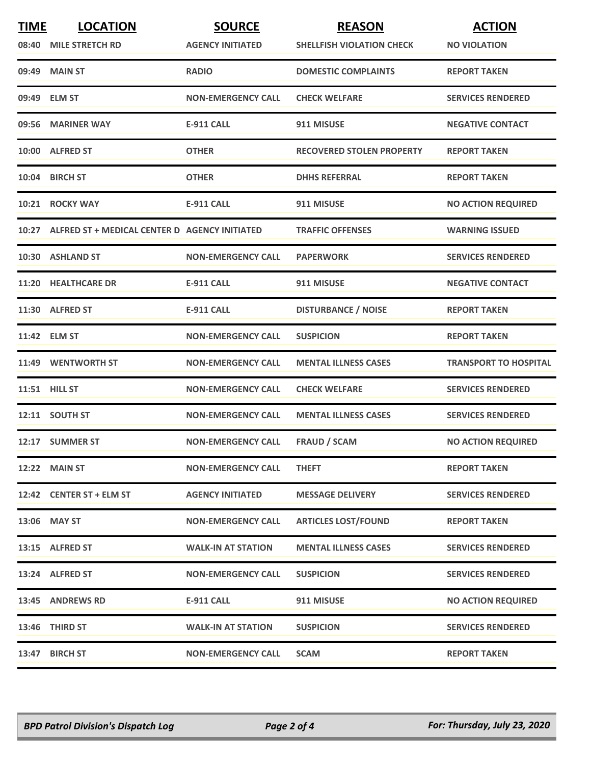| <b>TIME</b> | <b>LOCATION</b><br>08:40 MILE STRETCH RD            | <b>SOURCE</b><br><b>AGENCY INITIATED</b> | <b>REASON</b><br><b>SHELLFISH VIOLATION CHECK</b> | <b>ACTION</b><br><b>NO VIOLATION</b> |
|-------------|-----------------------------------------------------|------------------------------------------|---------------------------------------------------|--------------------------------------|
|             | 09:49 MAIN ST                                       | <b>RADIO</b>                             | <b>DOMESTIC COMPLAINTS</b>                        | <b>REPORT TAKEN</b>                  |
|             | 09:49 ELM ST                                        | <b>NON-EMERGENCY CALL</b>                | <b>CHECK WELFARE</b>                              | <b>SERVICES RENDERED</b>             |
|             | 09:56 MARINER WAY                                   | <b>E-911 CALL</b>                        | 911 MISUSE                                        | <b>NEGATIVE CONTACT</b>              |
|             | 10:00 ALFRED ST                                     | <b>OTHER</b>                             | <b>RECOVERED STOLEN PROPERTY</b>                  | <b>REPORT TAKEN</b>                  |
|             | 10:04 BIRCH ST                                      | <b>OTHER</b>                             | <b>DHHS REFERRAL</b>                              | <b>REPORT TAKEN</b>                  |
|             | 10:21 ROCKY WAY                                     | <b>E-911 CALL</b>                        | 911 MISUSE                                        | <b>NO ACTION REQUIRED</b>            |
|             | 10:27 ALFRED ST + MEDICAL CENTER D AGENCY INITIATED |                                          | <b>TRAFFIC OFFENSES</b>                           | <b>WARNING ISSUED</b>                |
|             | 10:30 ASHLAND ST                                    | <b>NON-EMERGENCY CALL</b>                | <b>PAPERWORK</b>                                  | <b>SERVICES RENDERED</b>             |
|             | 11:20 HEALTHCARE DR                                 | <b>E-911 CALL</b>                        | 911 MISUSE                                        | <b>NEGATIVE CONTACT</b>              |
|             | 11:30 ALFRED ST                                     | <b>E-911 CALL</b>                        | <b>DISTURBANCE / NOISE</b>                        | <b>REPORT TAKEN</b>                  |
|             | 11:42 ELM ST                                        | <b>NON-EMERGENCY CALL</b>                | <b>SUSPICION</b>                                  | <b>REPORT TAKEN</b>                  |
|             | 11:49 WENTWORTH ST                                  | <b>NON-EMERGENCY CALL</b>                | <b>MENTAL ILLNESS CASES</b>                       | <b>TRANSPORT TO HOSPITAL</b>         |
|             | <b>11:51 HILL ST</b>                                | <b>NON-EMERGENCY CALL</b>                | <b>CHECK WELFARE</b>                              | <b>SERVICES RENDERED</b>             |
|             | 12:11 SOUTH ST                                      | <b>NON-EMERGENCY CALL</b>                | <b>MENTAL ILLNESS CASES</b>                       | <b>SERVICES RENDERED</b>             |
|             | 12:17 SUMMER ST                                     | <b>NON-EMERGENCY CALL</b>                | <b>FRAUD / SCAM</b>                               | <b>NO ACTION REQUIRED</b>            |
|             | 12:22 MAIN ST                                       | <b>NON-EMERGENCY CALL</b>                | <b>THEFT</b>                                      | <b>REPORT TAKEN</b>                  |
|             | 12:42 CENTER ST + ELM ST                            | <b>AGENCY INITIATED</b>                  | <b>MESSAGE DELIVERY</b>                           | <b>SERVICES RENDERED</b>             |
|             | 13:06 MAY ST                                        | <b>NON-EMERGENCY CALL</b>                | <b>ARTICLES LOST/FOUND</b>                        | <b>REPORT TAKEN</b>                  |
|             | 13:15 ALFRED ST                                     | <b>WALK-IN AT STATION</b>                | <b>MENTAL ILLNESS CASES</b>                       | <b>SERVICES RENDERED</b>             |
|             | 13:24 ALFRED ST                                     | <b>NON-EMERGENCY CALL</b>                | <b>SUSPICION</b>                                  | <b>SERVICES RENDERED</b>             |
|             | 13:45 ANDREWS RD                                    | <b>E-911 CALL</b>                        | 911 MISUSE                                        | <b>NO ACTION REQUIRED</b>            |
|             | 13:46 THIRD ST                                      | <b>WALK-IN AT STATION</b>                | <b>SUSPICION</b>                                  | <b>SERVICES RENDERED</b>             |
|             | 13:47 BIRCH ST                                      | <b>NON-EMERGENCY CALL</b>                | <b>SCAM</b>                                       | <b>REPORT TAKEN</b>                  |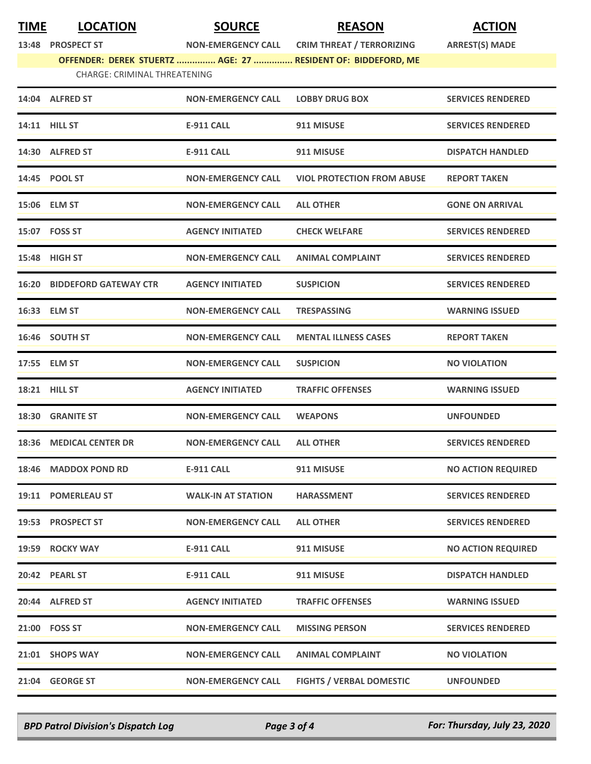| <b>TIME</b> | <b>LOCATION</b>                     | <b>SOURCE</b>             | <b>REASON</b>                                                | <b>ACTION</b>             |
|-------------|-------------------------------------|---------------------------|--------------------------------------------------------------|---------------------------|
|             | 13:48 PROSPECT ST                   | <b>NON-EMERGENCY CALL</b> | <b>CRIM THREAT / TERRORIZING</b>                             | <b>ARREST(S) MADE</b>     |
|             |                                     |                           | OFFENDER: DEREK STUERTZ  AGE: 27  RESIDENT OF: BIDDEFORD, ME |                           |
|             | <b>CHARGE: CRIMINAL THREATENING</b> |                           |                                                              |                           |
|             | 14:04 ALFRED ST                     | <b>NON-EMERGENCY CALL</b> | <b>LOBBY DRUG BOX</b>                                        | <b>SERVICES RENDERED</b>  |
|             | 14:11 HILL ST                       | <b>E-911 CALL</b>         | 911 MISUSE                                                   | <b>SERVICES RENDERED</b>  |
|             | 14:30 ALFRED ST                     | <b>E-911 CALL</b>         | 911 MISUSE                                                   | <b>DISPATCH HANDLED</b>   |
|             | 14:45 POOL ST                       | <b>NON-EMERGENCY CALL</b> | <b>VIOL PROTECTION FROM ABUSE</b>                            | <b>REPORT TAKEN</b>       |
|             | 15:06 ELM ST                        | <b>NON-EMERGENCY CALL</b> | <b>ALL OTHER</b>                                             | <b>GONE ON ARRIVAL</b>    |
|             | 15:07 FOSS ST                       | <b>AGENCY INITIATED</b>   | <b>CHECK WELFARE</b>                                         | <b>SERVICES RENDERED</b>  |
|             | 15:48 HIGH ST                       | <b>NON-EMERGENCY CALL</b> | <b>ANIMAL COMPLAINT</b>                                      | <b>SERVICES RENDERED</b>  |
|             | <b>16:20 BIDDEFORD GATEWAY CTR</b>  | <b>AGENCY INITIATED</b>   | <b>SUSPICION</b>                                             | <b>SERVICES RENDERED</b>  |
|             | 16:33 ELM ST                        | <b>NON-EMERGENCY CALL</b> | <b>TRESPASSING</b>                                           | <b>WARNING ISSUED</b>     |
|             | 16:46 SOUTH ST                      | <b>NON-EMERGENCY CALL</b> | <b>MENTAL ILLNESS CASES</b>                                  | <b>REPORT TAKEN</b>       |
|             | 17:55 ELM ST                        | <b>NON-EMERGENCY CALL</b> | <b>SUSPICION</b>                                             | <b>NO VIOLATION</b>       |
|             | 18:21 HILL ST                       | <b>AGENCY INITIATED</b>   | <b>TRAFFIC OFFENSES</b>                                      | <b>WARNING ISSUED</b>     |
|             | 18:30 GRANITE ST                    | <b>NON-EMERGENCY CALL</b> | <b>WEAPONS</b>                                               | <b>UNFOUNDED</b>          |
|             | 18:36 MEDICAL CENTER DR             | <b>NON-EMERGENCY CALL</b> | <b>ALL OTHER</b>                                             | <b>SERVICES RENDERED</b>  |
|             | 18:46 MADDOX POND RD                | <b>E-911 CALL</b>         | 911 MISUSE                                                   | <b>NO ACTION REQUIRED</b> |
|             | 19:11 POMERLEAU ST                  | <b>WALK-IN AT STATION</b> | <b>HARASSMENT</b>                                            | <b>SERVICES RENDERED</b>  |
|             | 19:53 PROSPECT ST                   | <b>NON-EMERGENCY CALL</b> | <b>ALL OTHER</b>                                             | <b>SERVICES RENDERED</b>  |
|             | 19:59 ROCKY WAY                     | E-911 CALL                | 911 MISUSE                                                   | <b>NO ACTION REQUIRED</b> |
|             | 20:42 PEARL ST                      | E-911 CALL                | 911 MISUSE                                                   | <b>DISPATCH HANDLED</b>   |
|             | 20:44 ALFRED ST                     | <b>AGENCY INITIATED</b>   | <b>TRAFFIC OFFENSES</b>                                      | <b>WARNING ISSUED</b>     |
|             | 21:00 FOSS ST                       | <b>NON-EMERGENCY CALL</b> | <b>MISSING PERSON</b>                                        | <b>SERVICES RENDERED</b>  |
|             | 21:01 SHOPS WAY                     | <b>NON-EMERGENCY CALL</b> | <b>ANIMAL COMPLAINT</b>                                      | <b>NO VIOLATION</b>       |
|             |                                     |                           |                                                              |                           |

*BPD Patrol Division's Dispatch Log Page 3 of 4 For: Thursday, July 23, 2020*

**21:04 GEORGE ST NON-EMERGENCY CALL FIGHTS / VERBAL DOMESTIC UNFOUNDED**